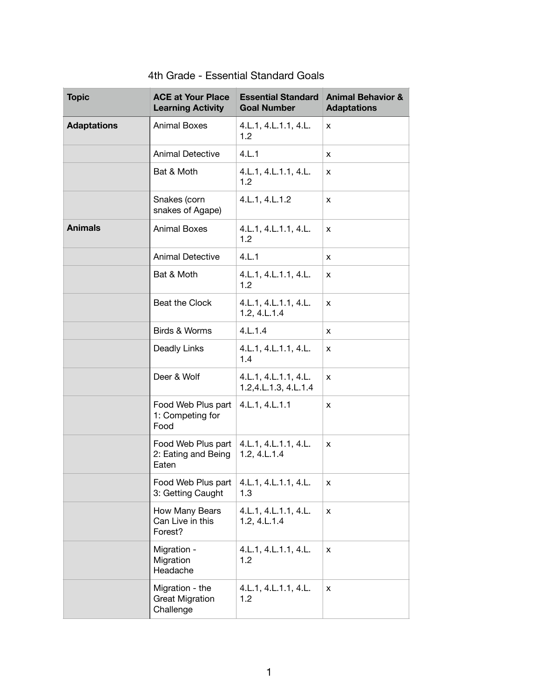| <b>Topic</b>       | <b>ACE at Your Place</b><br><b>Learning Activity</b>            | <b>Essential Standard</b><br><b>Goal Number</b>     | <b>Animal Behavior &amp;</b><br><b>Adaptations</b> |
|--------------------|-----------------------------------------------------------------|-----------------------------------------------------|----------------------------------------------------|
| <b>Adaptations</b> | <b>Animal Boxes</b>                                             | 4.L.1, 4.L.1.1, 4.L.<br>1.2                         | x                                                  |
|                    | <b>Animal Detective</b>                                         | 4.L.1                                               | x                                                  |
|                    | Bat & Moth                                                      | 4.L.1, 4.L.1.1, 4.L.<br>1.2                         | x                                                  |
|                    | Snakes (corn<br>snakes of Agape)                                | 4.L.1, 4.L.1.2                                      | X                                                  |
| <b>Animals</b>     | <b>Animal Boxes</b>                                             | 4.L.1, 4.L.1.1, 4.L.<br>1.2                         | x                                                  |
|                    | <b>Animal Detective</b>                                         | 4.L.1                                               | X                                                  |
|                    | Bat & Moth                                                      | 4.L.1, 4.L.1.1, 4.L.<br>1.2                         | x                                                  |
|                    | Beat the Clock                                                  | 4.L.1, 4.L.1.1, 4.L.<br>$1.2, 4.$ L. $1.4$          | x                                                  |
|                    | Birds & Worms                                                   | 4.L.1.4                                             | X                                                  |
|                    | Deadly Links                                                    | 4.L.1, 4.L.1.1, 4.L.<br>1.4                         | x                                                  |
|                    | Deer & Wolf                                                     | 4.L.1, 4.L.1.1, 4.L.<br>1.2, 4. L. 1. 3, 4. L. 1. 4 | x                                                  |
|                    | Food Web Plus part<br>1: Competing for<br>Food                  | 4.L.1, 4.L.1.1                                      | X                                                  |
|                    | Food Web Plus part<br>2: Eating and Being<br>Eaten              | 4.L.1, 4.L.1.1, 4.L.<br>1.2, 4.L.1.4                | X                                                  |
|                    | Food Web Plus part $ 4.L.1, 4.L.1.1, 4.L.$<br>3: Getting Caught | 1.3                                                 | x.                                                 |
|                    | How Many Bears<br>Can Live in this<br>Forest?                   | 4.L.1, 4.L.1.1, 4.L.<br>1.2, 4.L.1.4                | x                                                  |
|                    | Migration -<br>Migration<br>Headache                            | 4.L.1, 4.L.1.1, 4.L.<br>1.2                         | x                                                  |
|                    | Migration - the<br><b>Great Migration</b><br>Challenge          | 4.L.1, 4.L.1.1, 4.L.<br>1.2                         | x                                                  |

## 4th Grade - Essential Standard Goals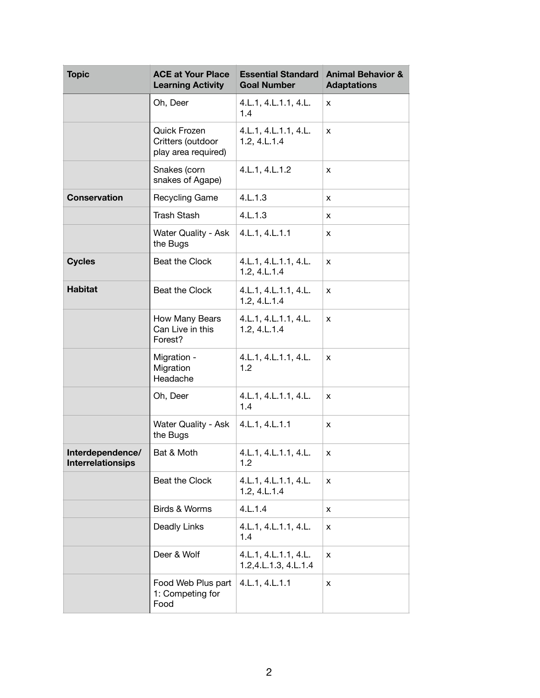| <b>Topic</b>                                 | <b>ACE at Your Place</b><br><b>Learning Activity</b>     | <b>Essential Standard</b><br><b>Goal Number</b>    | <b>Animal Behavior &amp;</b><br><b>Adaptations</b> |
|----------------------------------------------|----------------------------------------------------------|----------------------------------------------------|----------------------------------------------------|
|                                              | Oh, Deer                                                 | 4.L.1, 4.L.1.1, 4.L.<br>1.4                        | x                                                  |
|                                              | Quick Frozen<br>Critters (outdoor<br>play area required) | 4.L.1, 4.L.1.1, 4.L.<br>$1.2, 4.$ L. $1.4$         | X                                                  |
|                                              | Snakes (corn<br>snakes of Agape)                         | 4.L.1, 4.L.1.2                                     | x                                                  |
| <b>Conservation</b>                          | Recycling Game                                           | 4.L.1.3                                            | x                                                  |
|                                              | <b>Trash Stash</b>                                       | 4.L.1.3                                            | x                                                  |
|                                              | Water Quality - Ask<br>the Bugs                          | 4.L.1, 4.L.1.1                                     | x                                                  |
| <b>Cycles</b>                                | Beat the Clock                                           | 4.L.1, 4.L.1.1, 4.L.<br>1.2, 4.L.1.4               | X                                                  |
| <b>Habitat</b>                               | Beat the Clock                                           | 4.L.1, 4.L.1.1, 4.L.<br>1.2, 4.L.1.4               | X                                                  |
|                                              | How Many Bears<br>Can Live in this<br>Forest?            | 4.L.1, 4.L.1.1, 4.L.<br>$1.2, 4.$ L. $1.4$         | X                                                  |
|                                              | Migration -<br>Migration<br>Headache                     | 4.L.1, 4.L.1.1, 4.L.<br>1.2                        | x                                                  |
|                                              | Oh, Deer                                                 | 4.L.1, 4.L.1.1, 4.L.<br>1.4                        | X                                                  |
|                                              | Water Quality - Ask<br>the Bugs                          | 4.L.1, 4.L.1.1                                     | X                                                  |
| Interdependence/<br><b>Interrelationsips</b> | Bat & Moth                                               | 4.L.1, 4.L.1.1, 4.L.<br>1.2                        | x                                                  |
|                                              | Beat the Clock                                           | 4.L.1, 4.L.1.1, 4.L.<br>$1.2, 4.$ L. $1.4$         | X                                                  |
|                                              | Birds & Worms                                            | 4.L.1.4                                            | x                                                  |
|                                              | Deadly Links                                             | 4.L.1, 4.L.1.1, 4.L.<br>1.4                        | x                                                  |
|                                              | Deer & Wolf                                              | 4.L.1, 4.L.1.1, 4.L.<br>1.2, 4. L. 1.3, 4. L. 1. 4 | X                                                  |
|                                              | Food Web Plus part<br>1: Competing for<br>Food           | 4.L.1, 4.L.1.1                                     | x                                                  |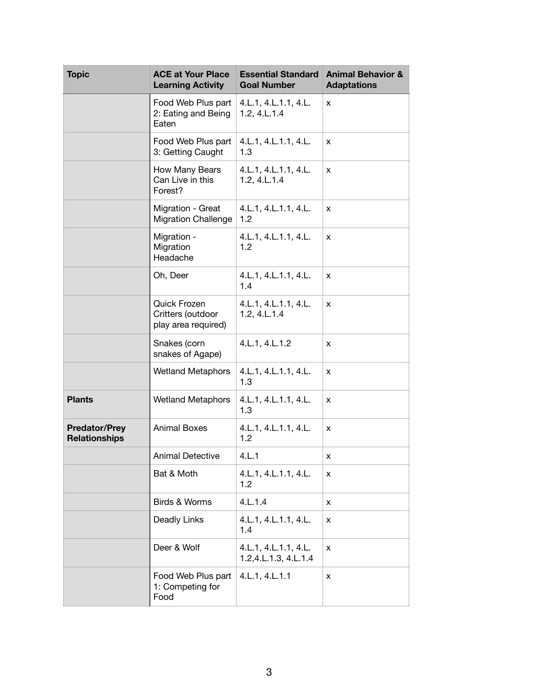| <b>Topic</b>                                 | <b>ACE at Your Place</b><br><b>Learning Activity</b>     | <b>Essential Standard</b><br><b>Goal Number</b>     | <b>Animal Behavior &amp;</b><br><b>Adaptations</b> |
|----------------------------------------------|----------------------------------------------------------|-----------------------------------------------------|----------------------------------------------------|
|                                              | Food Web Plus part<br>2: Eating and Being<br>Eaten       | 4.L.1, 4.L.1.1, 4.L.<br>$1.2, 4.$ L. $1.4$          | X                                                  |
|                                              | Food Web Plus part<br>3: Getting Caught                  | 4.L.1, 4.L.1.1, 4.L.<br>1.3                         | X                                                  |
|                                              | How Many Bears<br>Can Live in this<br>Forest?            | 4.L.1, 4.L.1.1, 4.L.<br>$1.2, 4.$ L. $1.4$          | X                                                  |
|                                              | Migration - Great<br><b>Migration Challenge</b>          | 4.L.1, 4.L.1.1, 4.L.<br>1.2                         | x                                                  |
|                                              | Migration -<br>Migration<br>Headache                     | 4.L.1, 4.L.1.1, 4.L.<br>1.2                         | X                                                  |
|                                              | Oh, Deer                                                 | 4.L.1, 4.L.1.1, 4.L.<br>1.4                         | x                                                  |
|                                              | Quick Frozen<br>Critters (outdoor<br>play area required) | 4.L.1, 4.L.1.1, 4.L.<br>1.2, 4.L.1.4                | X                                                  |
|                                              | Snakes (corn<br>snakes of Agape)                         | 4.L.1, 4.L.1.2                                      | X                                                  |
|                                              | <b>Wetland Metaphors</b>                                 | 4.L.1, 4.L.1.1, 4.L.<br>1.3                         | X                                                  |
| <b>Plants</b>                                | <b>Wetland Metaphors</b>                                 | 4.L.1, 4.L.1.1, 4.L.<br>1.3                         | x                                                  |
| <b>Predator/Prey</b><br><b>Relationships</b> | <b>Animal Boxes</b>                                      | 4.L.1, 4.L.1.1, 4.L.<br>1.2                         | X                                                  |
|                                              | <b>Animal Detective</b>                                  | 4.L.1                                               | х                                                  |
|                                              | Bat & Moth                                               | 4.L.1, 4.L.1.1, 4.L.<br>1.2                         | x                                                  |
|                                              | Birds & Worms                                            | 4.L.1.4                                             | x                                                  |
|                                              | Deadly Links                                             | 4.L.1, 4.L.1.1, 4.L.<br>1.4                         | x                                                  |
|                                              | Deer & Wolf                                              | 4.L.1, 4.L.1.1, 4.L.<br>1.2, 4. L. 1. 3, 4. L. 1. 4 | x                                                  |
|                                              | Food Web Plus part<br>1: Competing for<br>Food           | 4.L.1, 4.L.1.1                                      | x                                                  |